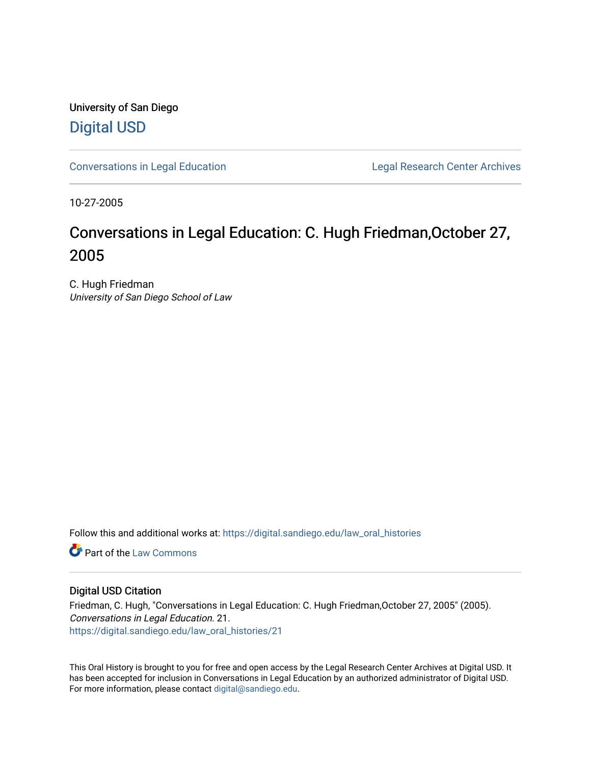University of San Diego [Digital USD](https://digital.sandiego.edu/)

[Conversations in Legal Education](https://digital.sandiego.edu/law_oral_histories) **Legal Research Center Archives** 

10-27-2005

# Conversations in Legal Education: C. Hugh Friedman,October 27, 2005

C. Hugh Friedman University of San Diego School of Law

Follow this and additional works at: [https://digital.sandiego.edu/law\\_oral\\_histories](https://digital.sandiego.edu/law_oral_histories?utm_source=digital.sandiego.edu%2Flaw_oral_histories%2F21&utm_medium=PDF&utm_campaign=PDFCoverPages) 

**C** Part of the [Law Commons](http://network.bepress.com/hgg/discipline/578?utm_source=digital.sandiego.edu%2Flaw_oral_histories%2F21&utm_medium=PDF&utm_campaign=PDFCoverPages)

## Digital USD Citation

Friedman, C. Hugh, "Conversations in Legal Education: C. Hugh Friedman,October 27, 2005" (2005). Conversations in Legal Education. 21. [https://digital.sandiego.edu/law\\_oral\\_histories/21](https://digital.sandiego.edu/law_oral_histories/21?utm_source=digital.sandiego.edu%2Flaw_oral_histories%2F21&utm_medium=PDF&utm_campaign=PDFCoverPages) 

This Oral History is brought to you for free and open access by the Legal Research Center Archives at Digital USD. It has been accepted for inclusion in Conversations in Legal Education by an authorized administrator of Digital USD. For more information, please contact [digital@sandiego.edu](mailto:digital@sandiego.edu).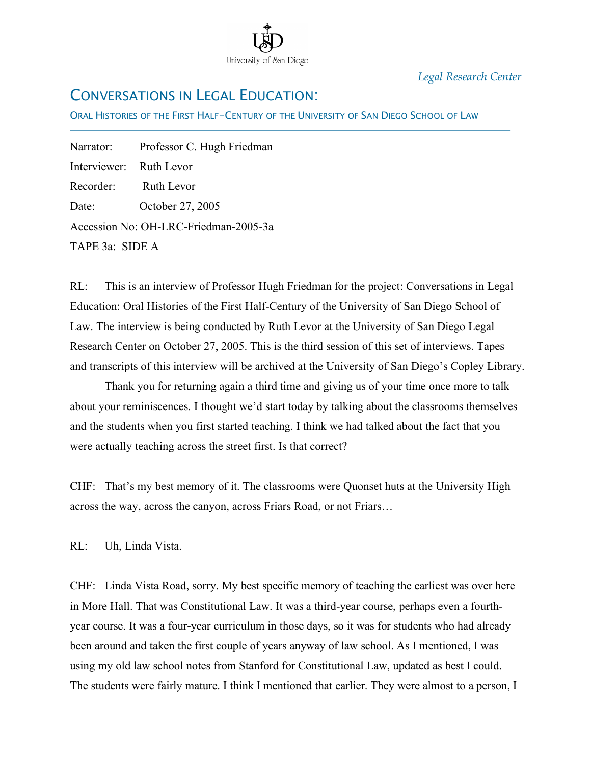

*Legal Research Center*

# CONVERSATIONS IN LEGAL EDUCATION:

ORAL HISTORIES OF THE FIRST HALF-CENTURY OF THE UNIVERSITY OF SAN DIEGO SCHOOL OF LAW

Narrator: Professor C. Hugh Friedman Interviewer: Ruth Levor Recorder: Ruth Levor Date: October 27, 2005 Accession No: OH-LRC-Friedman-2005-3a TAPE 3a: SIDE A

İ

RL: This is an interview of Professor Hugh Friedman for the project: Conversations in Legal Education: Oral Histories of the First Half-Century of the University of San Diego School of Law. The interview is being conducted by Ruth Levor at the University of San Diego Legal Research Center on October 27, 2005. This is the third session of this set of interviews. Tapes and transcripts of this interview will be archived at the University of San Diego's Copley Library.

Thank you for returning again a third time and giving us of your time once more to talk about your reminiscences. I thought we'd start today by talking about the classrooms themselves and the students when you first started teaching. I think we had talked about the fact that you were actually teaching across the street first. Is that correct?

CHF: That's my best memory of it. The classrooms were Quonset huts at the University High across the way, across the canyon, across Friars Road, or not Friars…

RL: Uh, Linda Vista.

CHF: Linda Vista Road, sorry. My best specific memory of teaching the earliest was over here in More Hall. That was Constitutional Law. It was a third-year course, perhaps even a fourthyear course. It was a four-year curriculum in those days, so it was for students who had already been around and taken the first couple of years anyway of law school. As I mentioned, I was using my old law school notes from Stanford for Constitutional Law, updated as best I could. The students were fairly mature. I think I mentioned that earlier. They were almost to a person, I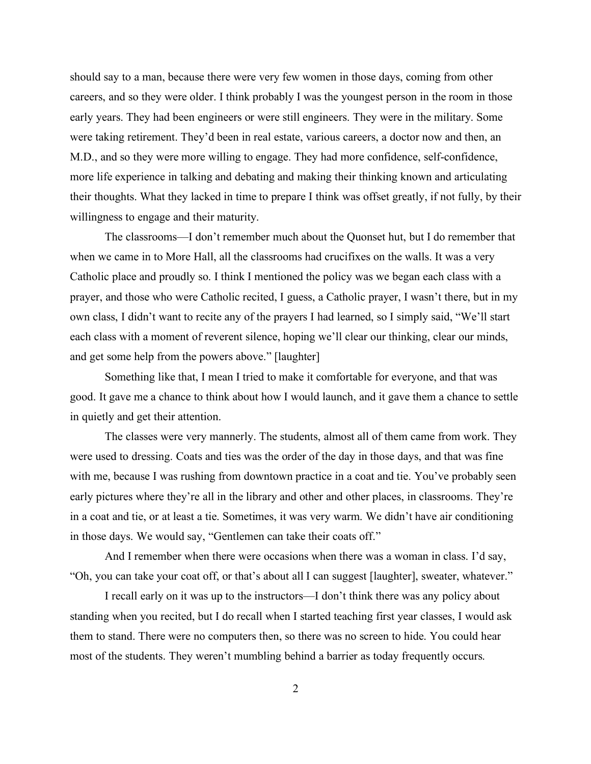should say to a man, because there were very few women in those days, coming from other careers, and so they were older. I think probably I was the youngest person in the room in those early years. They had been engineers or were still engineers. They were in the military. Some were taking retirement. They'd been in real estate, various careers, a doctor now and then, an M.D., and so they were more willing to engage. They had more confidence, self-confidence, more life experience in talking and debating and making their thinking known and articulating their thoughts. What they lacked in time to prepare I think was offset greatly, if not fully, by their willingness to engage and their maturity.

The classrooms—I don't remember much about the Quonset hut, but I do remember that when we came in to More Hall, all the classrooms had crucifixes on the walls. It was a very Catholic place and proudly so. I think I mentioned the policy was we began each class with a prayer, and those who were Catholic recited, I guess, a Catholic prayer, I wasn't there, but in my own class, I didn't want to recite any of the prayers I had learned, so I simply said, "We'll start each class with a moment of reverent silence, hoping we'll clear our thinking, clear our minds, and get some help from the powers above." [laughter]

Something like that, I mean I tried to make it comfortable for everyone, and that was good. It gave me a chance to think about how I would launch, and it gave them a chance to settle in quietly and get their attention.

The classes were very mannerly. The students, almost all of them came from work. They were used to dressing. Coats and ties was the order of the day in those days, and that was fine with me, because I was rushing from downtown practice in a coat and tie. You've probably seen early pictures where they're all in the library and other and other places, in classrooms. They're in a coat and tie, or at least a tie. Sometimes, it was very warm. We didn't have air conditioning in those days. We would say, "Gentlemen can take their coats off."

And I remember when there were occasions when there was a woman in class. I'd say, "Oh, you can take your coat off, or that's about all I can suggest [laughter], sweater, whatever."

I recall early on it was up to the instructors—I don't think there was any policy about standing when you recited, but I do recall when I started teaching first year classes, I would ask them to stand. There were no computers then, so there was no screen to hide. You could hear most of the students. They weren't mumbling behind a barrier as today frequently occurs.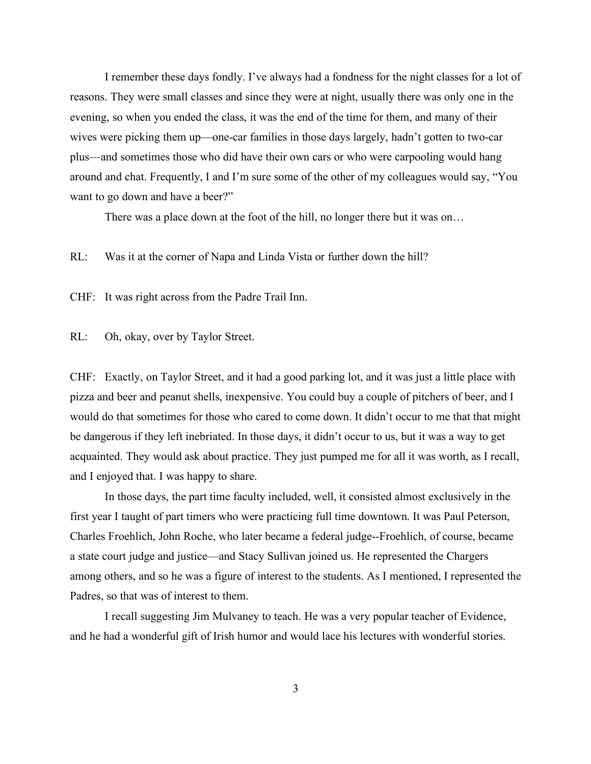I remember these days fondly. I've always had a fondness for the night classes for a lot of reasons. They were small classes and since they were at night, usually there was only one in the evening, so when you ended the class, it was the end of the time for them, and many of their wives were picking them up—one-car families in those days largely, hadn't gotten to two-car plus—and sometimes those who did have their own cars or who were carpooling would hang around and chat. Frequently, I and I'm sure some of the other of my colleagues would say, "You want to go down and have a beer?"

There was a place down at the foot of the hill, no longer there but it was on…

RL: Was it at the corner of Napa and Linda Vista or further down the hill?

CHF: It was right across from the Padre Trail Inn.

RL: Oh, okay, over by Taylor Street.

CHF: Exactly, on Taylor Street, and it had a good parking lot, and it was just a little place with pizza and beer and peanut shells, inexpensive. You could buy a couple of pitchers of beer, and I would do that sometimes for those who cared to come down. It didn't occur to me that that might be dangerous if they left inebriated. In those days, it didn't occur to us, but it was a way to get acquainted. They would ask about practice. They just pumped me for all it was worth, as I recall, and I enjoyed that. I was happy to share.

In those days, the part time faculty included, well, it consisted almost exclusively in the first year I taught of part timers who were practicing full time downtown. It was Paul Peterson, Charles Froehlich, John Roche, who later became a federal judge--Froehlich, of course, became a state court judge and justice—and Stacy Sullivan joined us. He represented the Chargers among others, and so he was a figure of interest to the students. As I mentioned, I represented the Padres, so that was of interest to them.

I recall suggesting Jim Mulvaney to teach. He was a very popular teacher of Evidence, and he had a wonderful gift of Irish humor and would lace his lectures with wonderful stories.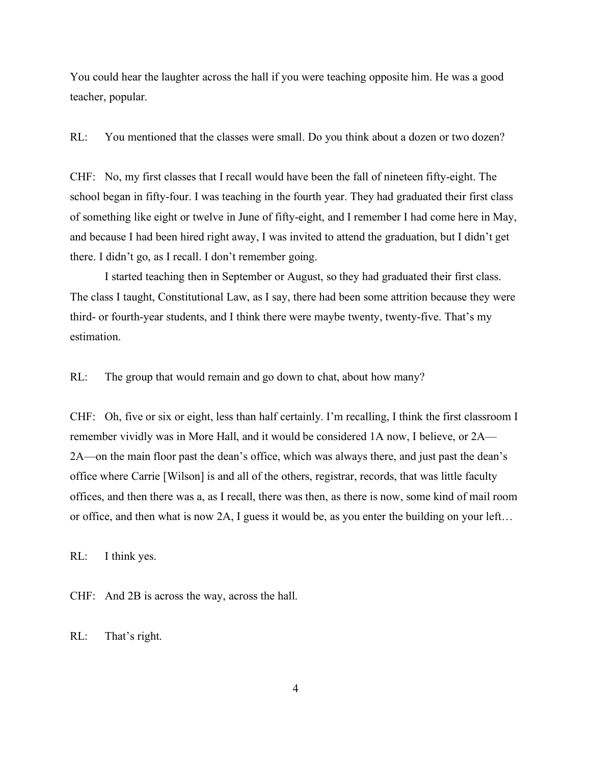You could hear the laughter across the hall if you were teaching opposite him. He was a good teacher, popular.

RL: You mentioned that the classes were small. Do you think about a dozen or two dozen?

CHF: No, my first classes that I recall would have been the fall of nineteen fifty-eight. The school began in fifty-four. I was teaching in the fourth year. They had graduated their first class of something like eight or twelve in June of fifty-eight, and I remember I had come here in May, and because I had been hired right away, I was invited to attend the graduation, but I didn't get there. I didn't go, as I recall. I don't remember going.

I started teaching then in September or August, so they had graduated their first class. The class I taught, Constitutional Law, as I say, there had been some attrition because they were third- or fourth-year students, and I think there were maybe twenty, twenty-five. That's my estimation.

RL: The group that would remain and go down to chat, about how many?

CHF: Oh, five or six or eight, less than half certainly. I'm recalling, I think the first classroom I remember vividly was in More Hall, and it would be considered 1A now, I believe, or 2A— 2A—on the main floor past the dean's office, which was always there, and just past the dean's office where Carrie [Wilson] is and all of the others, registrar, records, that was little faculty offices, and then there was a, as I recall, there was then, as there is now, some kind of mail room or office, and then what is now 2A, I guess it would be, as you enter the building on your left…

RL: I think yes.

CHF: And 2B is across the way, across the hall.

RL: That's right.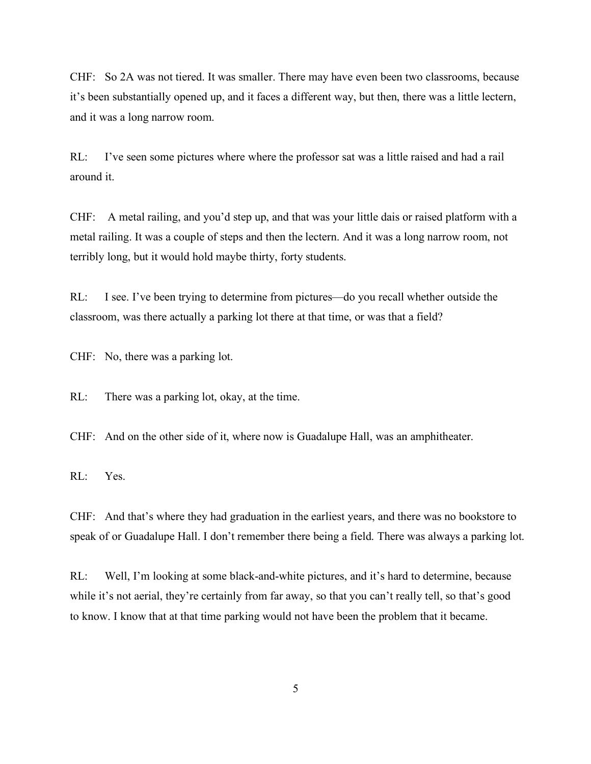CHF: So 2A was not tiered. It was smaller. There may have even been two classrooms, because it's been substantially opened up, and it faces a different way, but then, there was a little lectern, and it was a long narrow room.

RL: I've seen some pictures where where the professor sat was a little raised and had a rail around it.

CHF: A metal railing, and you'd step up, and that was your little dais or raised platform with a metal railing. It was a couple of steps and then the lectern. And it was a long narrow room, not terribly long, but it would hold maybe thirty, forty students.

RL: I see. I've been trying to determine from pictures—do you recall whether outside the classroom, was there actually a parking lot there at that time, or was that a field?

CHF: No, there was a parking lot.

RL: There was a parking lot, okay, at the time.

CHF: And on the other side of it, where now is Guadalupe Hall, was an amphitheater.

RL: Yes.

CHF: And that's where they had graduation in the earliest years, and there was no bookstore to speak of or Guadalupe Hall. I don't remember there being a field. There was always a parking lot.

RL: Well, I'm looking at some black-and-white pictures, and it's hard to determine, because while it's not aerial, they're certainly from far away, so that you can't really tell, so that's good to know. I know that at that time parking would not have been the problem that it became.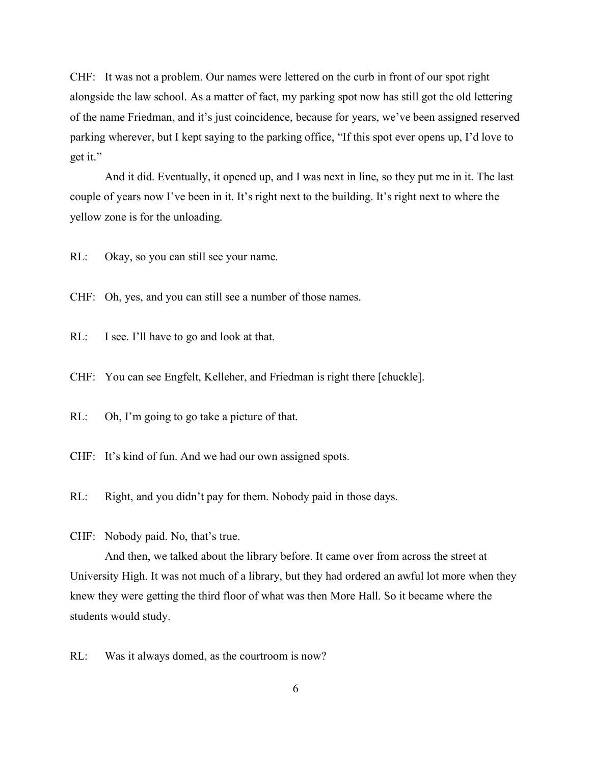CHF: It was not a problem. Our names were lettered on the curb in front of our spot right alongside the law school. As a matter of fact, my parking spot now has still got the old lettering of the name Friedman, and it's just coincidence, because for years, we've been assigned reserved parking wherever, but I kept saying to the parking office, "If this spot ever opens up, I'd love to get it."

And it did. Eventually, it opened up, and I was next in line, so they put me in it. The last couple of years now I've been in it. It's right next to the building. It's right next to where the yellow zone is for the unloading.

RL: Okay, so you can still see your name.

CHF: Oh, yes, and you can still see a number of those names.

RL: I see. I'll have to go and look at that.

CHF: You can see Engfelt, Kelleher, and Friedman is right there [chuckle].

RL: Oh, I'm going to go take a picture of that.

CHF: It's kind of fun. And we had our own assigned spots.

RL: Right, and you didn't pay for them. Nobody paid in those days.

CHF: Nobody paid. No, that's true.

And then, we talked about the library before. It came over from across the street at University High. It was not much of a library, but they had ordered an awful lot more when they knew they were getting the third floor of what was then More Hall. So it became where the students would study.

RL: Was it always domed, as the courtroom is now?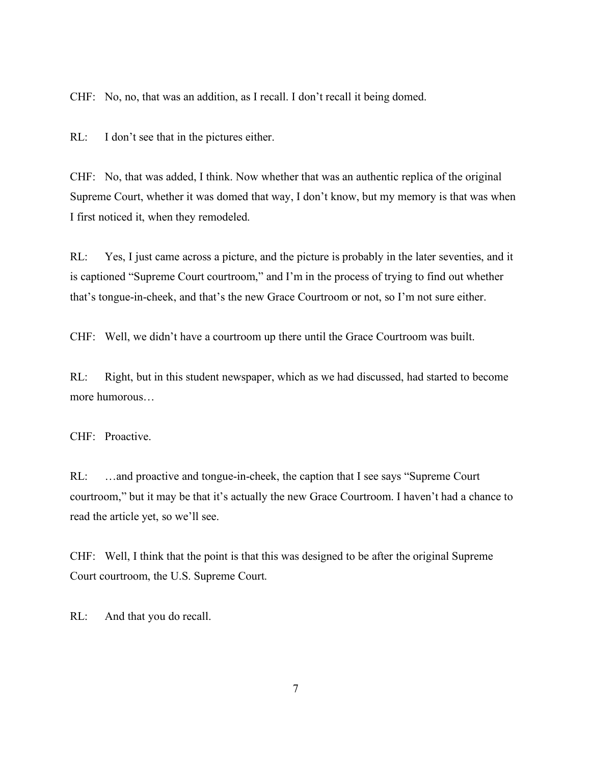CHF: No, no, that was an addition, as I recall. I don't recall it being domed.

RL: I don't see that in the pictures either.

CHF: No, that was added, I think. Now whether that was an authentic replica of the original Supreme Court, whether it was domed that way, I don't know, but my memory is that was when I first noticed it, when they remodeled.

RL: Yes, I just came across a picture, and the picture is probably in the later seventies, and it is captioned "Supreme Court courtroom," and I'm in the process of trying to find out whether that's tongue-in-cheek, and that's the new Grace Courtroom or not, so I'm not sure either.

CHF: Well, we didn't have a courtroom up there until the Grace Courtroom was built.

RL: Right, but in this student newspaper, which as we had discussed, had started to become more humorous…

CHF: Proactive.

RL: …and proactive and tongue-in-cheek, the caption that I see says "Supreme Court courtroom," but it may be that it's actually the new Grace Courtroom. I haven't had a chance to read the article yet, so we'll see.

CHF: Well, I think that the point is that this was designed to be after the original Supreme Court courtroom, the U.S. Supreme Court.

RL: And that you do recall.

7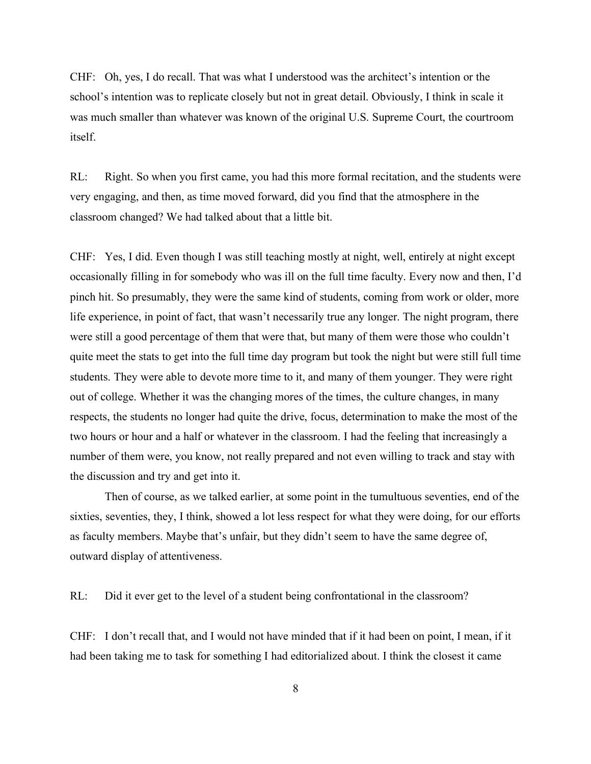CHF: Oh, yes, I do recall. That was what I understood was the architect's intention or the school's intention was to replicate closely but not in great detail. Obviously, I think in scale it was much smaller than whatever was known of the original U.S. Supreme Court, the courtroom itself.

RL: Right. So when you first came, you had this more formal recitation, and the students were very engaging, and then, as time moved forward, did you find that the atmosphere in the classroom changed? We had talked about that a little bit.

CHF: Yes, I did. Even though I was still teaching mostly at night, well, entirely at night except occasionally filling in for somebody who was ill on the full time faculty. Every now and then, I'd pinch hit. So presumably, they were the same kind of students, coming from work or older, more life experience, in point of fact, that wasn't necessarily true any longer. The night program, there were still a good percentage of them that were that, but many of them were those who couldn't quite meet the stats to get into the full time day program but took the night but were still full time students. They were able to devote more time to it, and many of them younger. They were right out of college. Whether it was the changing mores of the times, the culture changes, in many respects, the students no longer had quite the drive, focus, determination to make the most of the two hours or hour and a half or whatever in the classroom. I had the feeling that increasingly a number of them were, you know, not really prepared and not even willing to track and stay with the discussion and try and get into it.

Then of course, as we talked earlier, at some point in the tumultuous seventies, end of the sixties, seventies, they, I think, showed a lot less respect for what they were doing, for our efforts as faculty members. Maybe that's unfair, but they didn't seem to have the same degree of, outward display of attentiveness.

RL: Did it ever get to the level of a student being confrontational in the classroom?

CHF: I don't recall that, and I would not have minded that if it had been on point, I mean, if it had been taking me to task for something I had editorialized about. I think the closest it came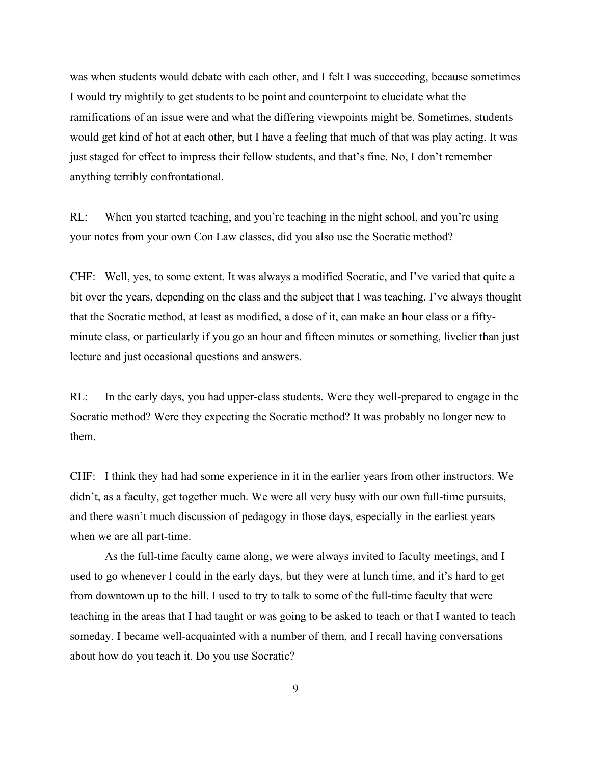was when students would debate with each other, and I felt I was succeeding, because sometimes I would try mightily to get students to be point and counterpoint to elucidate what the ramifications of an issue were and what the differing viewpoints might be. Sometimes, students would get kind of hot at each other, but I have a feeling that much of that was play acting. It was just staged for effect to impress their fellow students, and that's fine. No, I don't remember anything terribly confrontational.

RL: When you started teaching, and you're teaching in the night school, and you're using your notes from your own Con Law classes, did you also use the Socratic method?

CHF: Well, yes, to some extent. It was always a modified Socratic, and I've varied that quite a bit over the years, depending on the class and the subject that I was teaching. I've always thought that the Socratic method, at least as modified, a dose of it, can make an hour class or a fiftyminute class, or particularly if you go an hour and fifteen minutes or something, livelier than just lecture and just occasional questions and answers.

RL: In the early days, you had upper-class students. Were they well-prepared to engage in the Socratic method? Were they expecting the Socratic method? It was probably no longer new to them.

CHF: I think they had had some experience in it in the earlier years from other instructors. We didn't, as a faculty, get together much. We were all very busy with our own full-time pursuits, and there wasn't much discussion of pedagogy in those days, especially in the earliest years when we are all part-time.

As the full-time faculty came along, we were always invited to faculty meetings, and I used to go whenever I could in the early days, but they were at lunch time, and it's hard to get from downtown up to the hill. I used to try to talk to some of the full-time faculty that were teaching in the areas that I had taught or was going to be asked to teach or that I wanted to teach someday. I became well-acquainted with a number of them, and I recall having conversations about how do you teach it. Do you use Socratic?

9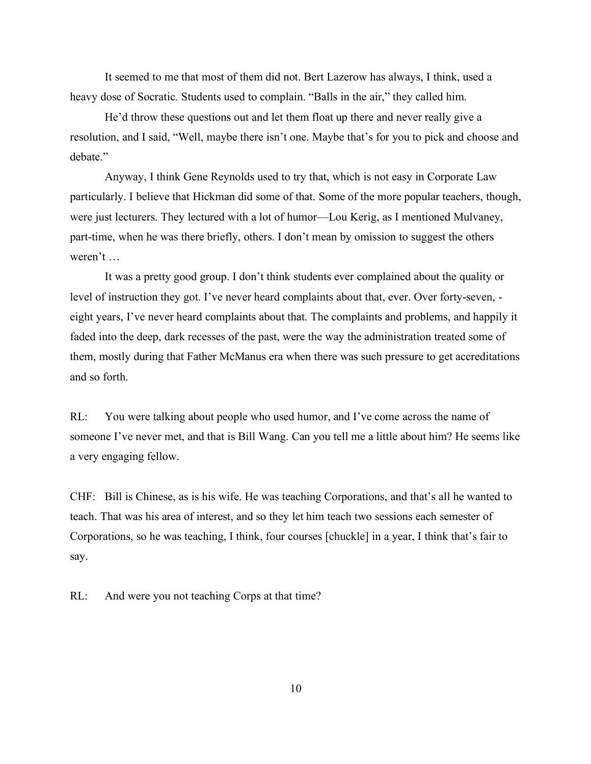It seemed to me that most of them did not. Bert Lazerow has always, I think, used a heavy dose of Socratic. Students used to complain. "Balls in the air," they called him.

He'd throw these questions out and let them float up there and never really give a resolution, and I said, "Well, maybe there isn't one. Maybe that's for you to pick and choose and debate."

Anyway, I think Gene Reynolds used to try that, which is not easy in Corporate Law particularly. I believe that Hickman did some of that. Some of the more popular teachers, though, were just lecturers. They lectured with a lot of humor—Lou Kerig, as I mentioned Mulvaney, part-time, when he was there briefly, others. I don't mean by omission to suggest the others weren't …

It was a pretty good group. I don't think students ever complained about the quality or level of instruction they got. I've never heard complaints about that, ever. Over forty-seven, eight years, I've never heard complaints about that. The complaints and problems, and happily it faded into the deep, dark recesses of the past, were the way the administration treated some of them, mostly during that Father McManus era when there was such pressure to get accreditations and so forth.

RL: You were talking about people who used humor, and I've come across the name of someone I've never met, and that is Bill Wang. Can you tell me a little about him? He seems like a very engaging fellow.

CHF: Bill is Chinese, as is his wife. He was teaching Corporations, and that's all he wanted to teach. That was his area of interest, and so they let him teach two sessions each semester of Corporations, so he was teaching, I think, four courses [chuckle] in a year, I think that's fair to say.

RL: And were you not teaching Corps at that time?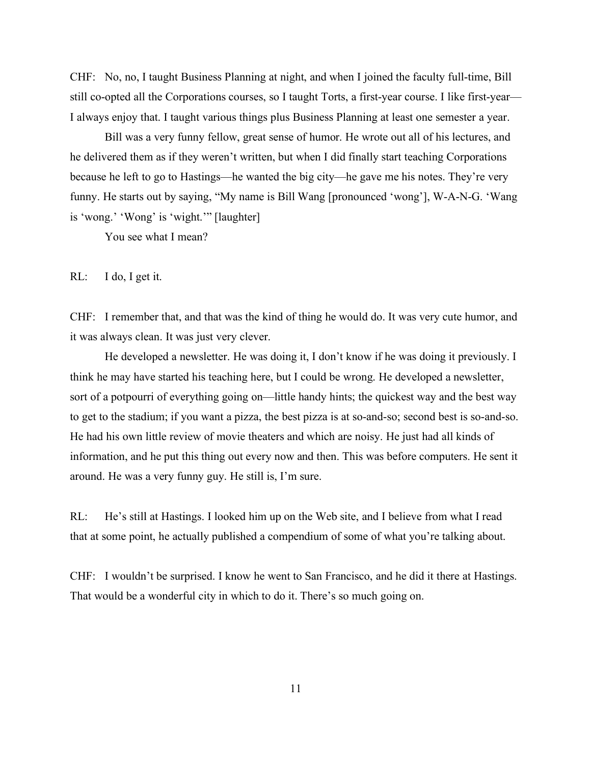CHF: No, no, I taught Business Planning at night, and when I joined the faculty full-time, Bill still co-opted all the Corporations courses, so I taught Torts, a first-year course. I like first-year— I always enjoy that. I taught various things plus Business Planning at least one semester a year.

Bill was a very funny fellow, great sense of humor. He wrote out all of his lectures, and he delivered them as if they weren't written, but when I did finally start teaching Corporations because he left to go to Hastings—he wanted the big city—he gave me his notes. They're very funny. He starts out by saying, "My name is Bill Wang [pronounced 'wong'], W-A-N-G. 'Wang is 'wong.' 'Wong' is 'wight.'" [laughter]

You see what I mean?

RL: I do, I get it.

CHF: I remember that, and that was the kind of thing he would do. It was very cute humor, and it was always clean. It was just very clever.

He developed a newsletter. He was doing it, I don't know if he was doing it previously. I think he may have started his teaching here, but I could be wrong. He developed a newsletter, sort of a potpourri of everything going on—little handy hints; the quickest way and the best way to get to the stadium; if you want a pizza, the best pizza is at so-and-so; second best is so-and-so. He had his own little review of movie theaters and which are noisy. He just had all kinds of information, and he put this thing out every now and then. This was before computers. He sent it around. He was a very funny guy. He still is, I'm sure.

RL: He's still at Hastings. I looked him up on the Web site, and I believe from what I read that at some point, he actually published a compendium of some of what you're talking about.

CHF: I wouldn't be surprised. I know he went to San Francisco, and he did it there at Hastings. That would be a wonderful city in which to do it. There's so much going on.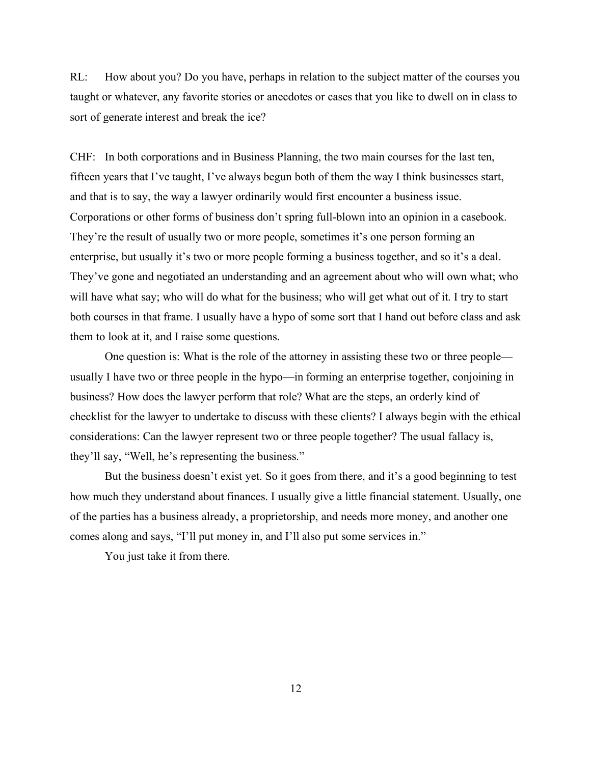RL: How about you? Do you have, perhaps in relation to the subject matter of the courses you taught or whatever, any favorite stories or anecdotes or cases that you like to dwell on in class to sort of generate interest and break the ice?

CHF: In both corporations and in Business Planning, the two main courses for the last ten, fifteen years that I've taught, I've always begun both of them the way I think businesses start, and that is to say, the way a lawyer ordinarily would first encounter a business issue. Corporations or other forms of business don't spring full-blown into an opinion in a casebook. They're the result of usually two or more people, sometimes it's one person forming an enterprise, but usually it's two or more people forming a business together, and so it's a deal. They've gone and negotiated an understanding and an agreement about who will own what; who will have what say; who will do what for the business; who will get what out of it. I try to start both courses in that frame. I usually have a hypo of some sort that I hand out before class and ask them to look at it, and I raise some questions.

One question is: What is the role of the attorney in assisting these two or three people usually I have two or three people in the hypo—in forming an enterprise together, conjoining in business? How does the lawyer perform that role? What are the steps, an orderly kind of checklist for the lawyer to undertake to discuss with these clients? I always begin with the ethical considerations: Can the lawyer represent two or three people together? The usual fallacy is, they'll say, "Well, he's representing the business."

But the business doesn't exist yet. So it goes from there, and it's a good beginning to test how much they understand about finances. I usually give a little financial statement. Usually, one of the parties has a business already, a proprietorship, and needs more money, and another one comes along and says, "I'll put money in, and I'll also put some services in."

You just take it from there.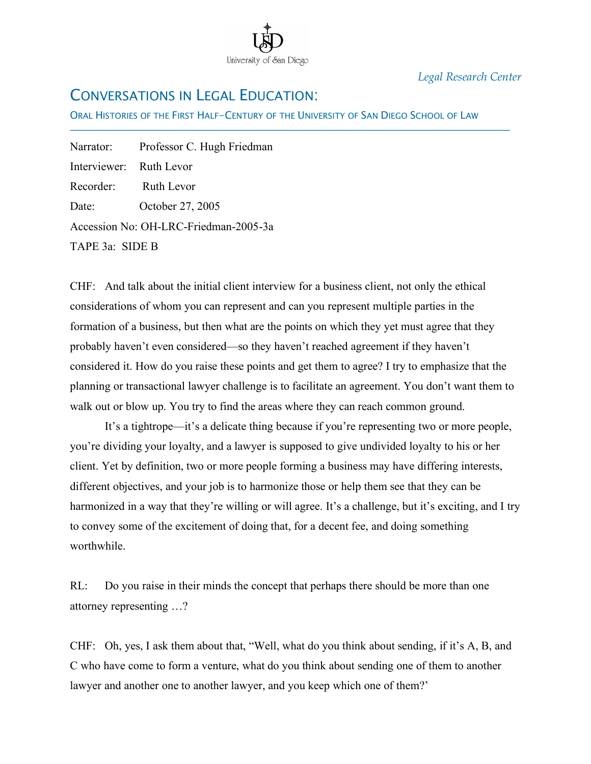

*Legal Research Center*

# CONVERSATIONS IN LEGAL EDUCATION:

ORAL HISTORIES OF THE FIRST HALF-CENTURY OF THE UNIVERSITY OF SAN DIEGO SCHOOL OF LAW

Narrator: Professor C. Hugh Friedman Interviewer: Ruth Levor Recorder: Ruth Levor Date: October 27, 2005 Accession No: OH-LRC-Friedman-2005-3a TAPE 3a: SIDE B

İ

CHF: And talk about the initial client interview for a business client, not only the ethical considerations of whom you can represent and can you represent multiple parties in the formation of a business, but then what are the points on which they yet must agree that they probably haven't even considered—so they haven't reached agreement if they haven't considered it. How do you raise these points and get them to agree? I try to emphasize that the planning or transactional lawyer challenge is to facilitate an agreement. You don't want them to walk out or blow up. You try to find the areas where they can reach common ground.

It's a tightrope—it's a delicate thing because if you're representing two or more people, you're dividing your loyalty, and a lawyer is supposed to give undivided loyalty to his or her client. Yet by definition, two or more people forming a business may have differing interests, different objectives, and your job is to harmonize those or help them see that they can be harmonized in a way that they're willing or will agree. It's a challenge, but it's exciting, and I try to convey some of the excitement of doing that, for a decent fee, and doing something worthwhile.

RL: Do you raise in their minds the concept that perhaps there should be more than one attorney representing …?

CHF: Oh, yes, I ask them about that, "Well, what do you think about sending, if it's A, B, and C who have come to form a venture, what do you think about sending one of them to another lawyer and another one to another lawyer, and you keep which one of them?'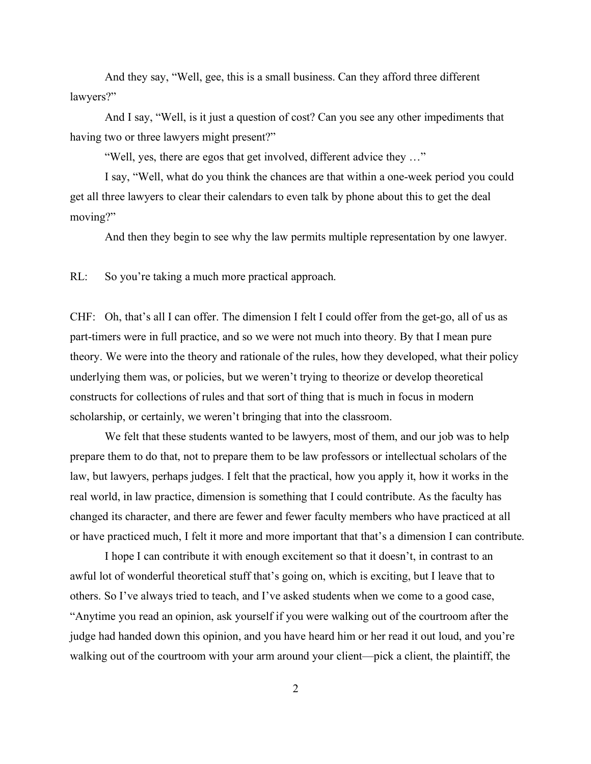And they say, "Well, gee, this is a small business. Can they afford three different lawyers?"

And I say, "Well, is it just a question of cost? Can you see any other impediments that having two or three lawyers might present?"

"Well, yes, there are egos that get involved, different advice they …"

I say, "Well, what do you think the chances are that within a one-week period you could get all three lawyers to clear their calendars to even talk by phone about this to get the deal moving?"

And then they begin to see why the law permits multiple representation by one lawyer.

RL: So you're taking a much more practical approach.

CHF: Oh, that's all I can offer. The dimension I felt I could offer from the get-go, all of us as part-timers were in full practice, and so we were not much into theory. By that I mean pure theory. We were into the theory and rationale of the rules, how they developed, what their policy underlying them was, or policies, but we weren't trying to theorize or develop theoretical constructs for collections of rules and that sort of thing that is much in focus in modern scholarship, or certainly, we weren't bringing that into the classroom.

We felt that these students wanted to be lawyers, most of them, and our job was to help prepare them to do that, not to prepare them to be law professors or intellectual scholars of the law, but lawyers, perhaps judges. I felt that the practical, how you apply it, how it works in the real world, in law practice, dimension is something that I could contribute. As the faculty has changed its character, and there are fewer and fewer faculty members who have practiced at all or have practiced much, I felt it more and more important that that's a dimension I can contribute.

I hope I can contribute it with enough excitement so that it doesn't, in contrast to an awful lot of wonderful theoretical stuff that's going on, which is exciting, but I leave that to others. So I've always tried to teach, and I've asked students when we come to a good case, "Anytime you read an opinion, ask yourself if you were walking out of the courtroom after the judge had handed down this opinion, and you have heard him or her read it out loud, and you're walking out of the courtroom with your arm around your client—pick a client, the plaintiff, the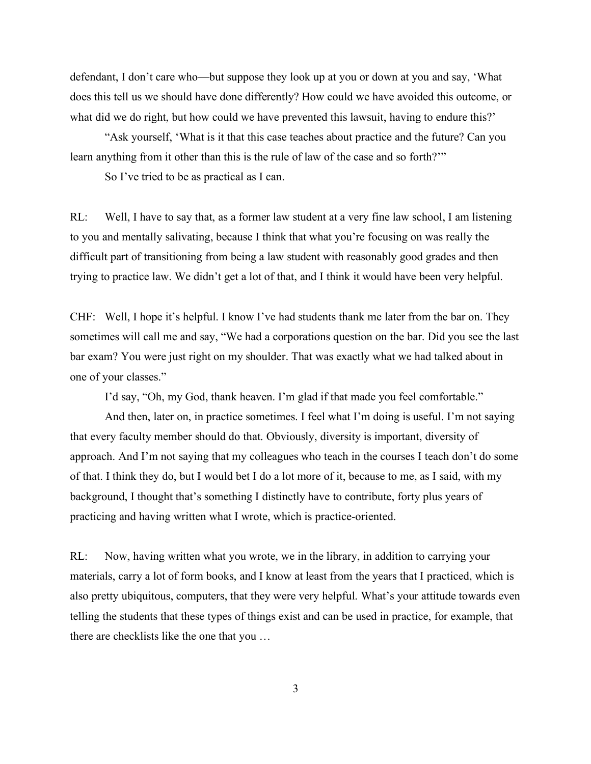defendant, I don't care who—but suppose they look up at you or down at you and say, 'What does this tell us we should have done differently? How could we have avoided this outcome, or what did we do right, but how could we have prevented this lawsuit, having to endure this?'

"Ask yourself, 'What is it that this case teaches about practice and the future? Can you learn anything from it other than this is the rule of law of the case and so forth?'"

So I've tried to be as practical as I can.

RL: Well, I have to say that, as a former law student at a very fine law school, I am listening to you and mentally salivating, because I think that what you're focusing on was really the difficult part of transitioning from being a law student with reasonably good grades and then trying to practice law. We didn't get a lot of that, and I think it would have been very helpful.

CHF: Well, I hope it's helpful. I know I've had students thank me later from the bar on. They sometimes will call me and say, "We had a corporations question on the bar. Did you see the last bar exam? You were just right on my shoulder. That was exactly what we had talked about in one of your classes."

I'd say, "Oh, my God, thank heaven. I'm glad if that made you feel comfortable."

And then, later on, in practice sometimes. I feel what I'm doing is useful. I'm not saying that every faculty member should do that. Obviously, diversity is important, diversity of approach. And I'm not saying that my colleagues who teach in the courses I teach don't do some of that. I think they do, but I would bet I do a lot more of it, because to me, as I said, with my background, I thought that's something I distinctly have to contribute, forty plus years of practicing and having written what I wrote, which is practice-oriented.

RL: Now, having written what you wrote, we in the library, in addition to carrying your materials, carry a lot of form books, and I know at least from the years that I practiced, which is also pretty ubiquitous, computers, that they were very helpful. What's your attitude towards even telling the students that these types of things exist and can be used in practice, for example, that there are checklists like the one that you …

3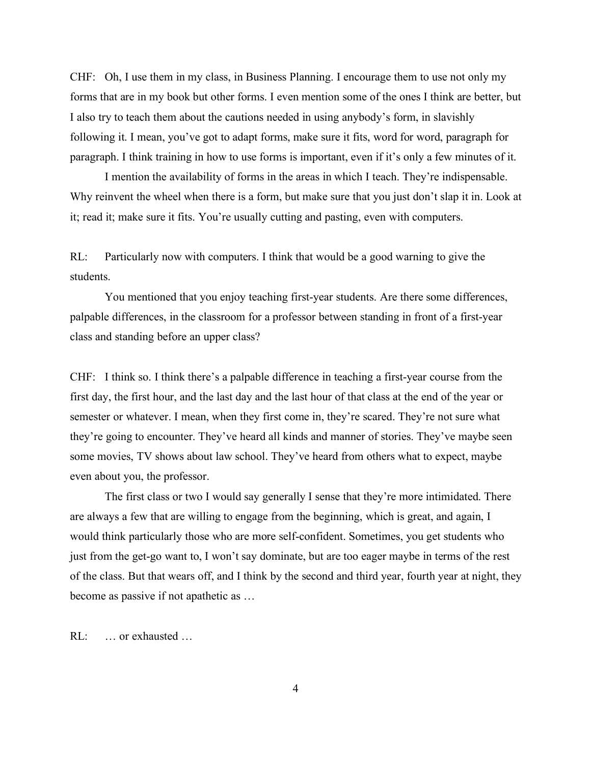CHF: Oh, I use them in my class, in Business Planning. I encourage them to use not only my forms that are in my book but other forms. I even mention some of the ones I think are better, but I also try to teach them about the cautions needed in using anybody's form, in slavishly following it. I mean, you've got to adapt forms, make sure it fits, word for word, paragraph for paragraph. I think training in how to use forms is important, even if it's only a few minutes of it.

I mention the availability of forms in the areas in which I teach. They're indispensable. Why reinvent the wheel when there is a form, but make sure that you just don't slap it in. Look at it; read it; make sure it fits. You're usually cutting and pasting, even with computers.

RL: Particularly now with computers. I think that would be a good warning to give the students.

You mentioned that you enjoy teaching first-year students. Are there some differences, palpable differences, in the classroom for a professor between standing in front of a first-year class and standing before an upper class?

CHF: I think so. I think there's a palpable difference in teaching a first-year course from the first day, the first hour, and the last day and the last hour of that class at the end of the year or semester or whatever. I mean, when they first come in, they're scared. They're not sure what they're going to encounter. They've heard all kinds and manner of stories. They've maybe seen some movies, TV shows about law school. They've heard from others what to expect, maybe even about you, the professor.

The first class or two I would say generally I sense that they're more intimidated. There are always a few that are willing to engage from the beginning, which is great, and again, I would think particularly those who are more self-confident. Sometimes, you get students who just from the get-go want to, I won't say dominate, but are too eager maybe in terms of the rest of the class. But that wears off, and I think by the second and third year, fourth year at night, they become as passive if not apathetic as …

RL: … or exhausted …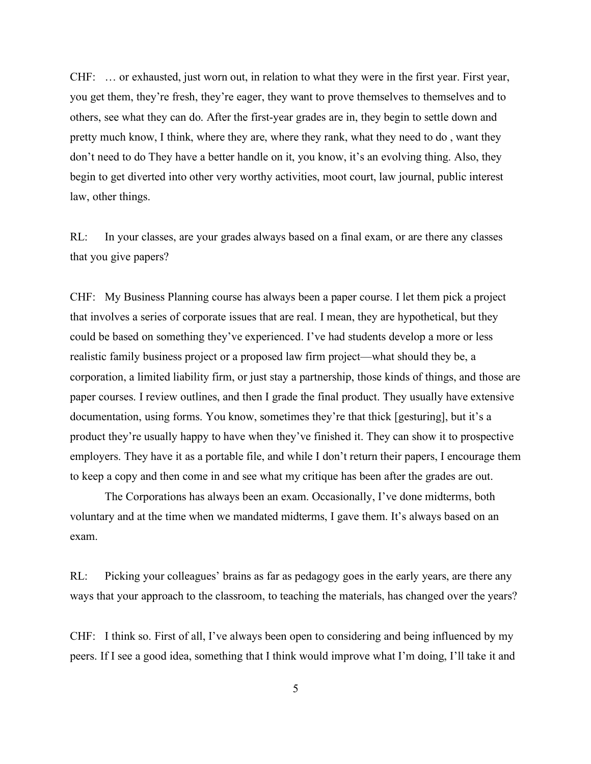CHF: … or exhausted, just worn out, in relation to what they were in the first year. First year, you get them, they're fresh, they're eager, they want to prove themselves to themselves and to others, see what they can do. After the first-year grades are in, they begin to settle down and pretty much know, I think, where they are, where they rank, what they need to do , want they don't need to do They have a better handle on it, you know, it's an evolving thing. Also, they begin to get diverted into other very worthy activities, moot court, law journal, public interest law, other things.

RL: In your classes, are your grades always based on a final exam, or are there any classes that you give papers?

CHF: My Business Planning course has always been a paper course. I let them pick a project that involves a series of corporate issues that are real. I mean, they are hypothetical, but they could be based on something they've experienced. I've had students develop a more or less realistic family business project or a proposed law firm project—what should they be, a corporation, a limited liability firm, or just stay a partnership, those kinds of things, and those are paper courses. I review outlines, and then I grade the final product. They usually have extensive documentation, using forms. You know, sometimes they're that thick [gesturing], but it's a product they're usually happy to have when they've finished it. They can show it to prospective employers. They have it as a portable file, and while I don't return their papers, I encourage them to keep a copy and then come in and see what my critique has been after the grades are out.

The Corporations has always been an exam. Occasionally, I've done midterms, both voluntary and at the time when we mandated midterms, I gave them. It's always based on an exam.

RL: Picking your colleagues' brains as far as pedagogy goes in the early years, are there any ways that your approach to the classroom, to teaching the materials, has changed over the years?

CHF: I think so. First of all, I've always been open to considering and being influenced by my peers. If I see a good idea, something that I think would improve what I'm doing, I'll take it and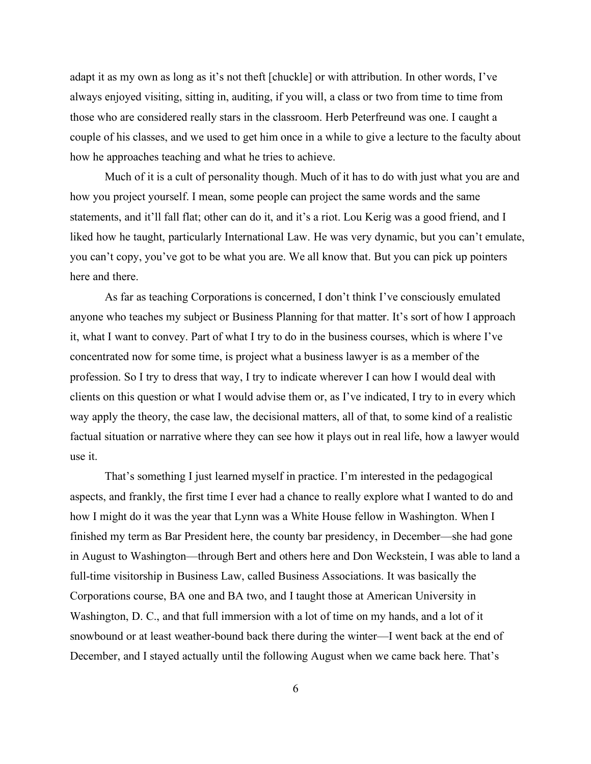adapt it as my own as long as it's not theft [chuckle] or with attribution. In other words, I've always enjoyed visiting, sitting in, auditing, if you will, a class or two from time to time from those who are considered really stars in the classroom. Herb Peterfreund was one. I caught a couple of his classes, and we used to get him once in a while to give a lecture to the faculty about how he approaches teaching and what he tries to achieve.

Much of it is a cult of personality though. Much of it has to do with just what you are and how you project yourself. I mean, some people can project the same words and the same statements, and it'll fall flat; other can do it, and it's a riot. Lou Kerig was a good friend, and I liked how he taught, particularly International Law. He was very dynamic, but you can't emulate, you can't copy, you've got to be what you are. We all know that. But you can pick up pointers here and there.

As far as teaching Corporations is concerned, I don't think I've consciously emulated anyone who teaches my subject or Business Planning for that matter. It's sort of how I approach it, what I want to convey. Part of what I try to do in the business courses, which is where I've concentrated now for some time, is project what a business lawyer is as a member of the profession. So I try to dress that way, I try to indicate wherever I can how I would deal with clients on this question or what I would advise them or, as I've indicated, I try to in every which way apply the theory, the case law, the decisional matters, all of that, to some kind of a realistic factual situation or narrative where they can see how it plays out in real life, how a lawyer would use it.

That's something I just learned myself in practice. I'm interested in the pedagogical aspects, and frankly, the first time I ever had a chance to really explore what I wanted to do and how I might do it was the year that Lynn was a White House fellow in Washington. When I finished my term as Bar President here, the county bar presidency, in December—she had gone in August to Washington—through Bert and others here and Don Weckstein, I was able to land a full-time visitorship in Business Law, called Business Associations. It was basically the Corporations course, BA one and BA two, and I taught those at American University in Washington, D. C., and that full immersion with a lot of time on my hands, and a lot of it snowbound or at least weather-bound back there during the winter—I went back at the end of December, and I stayed actually until the following August when we came back here. That's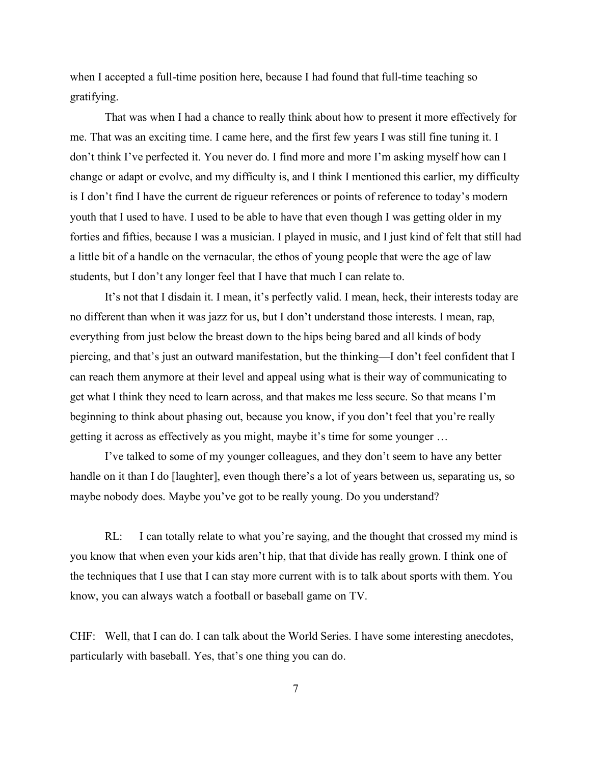when I accepted a full-time position here, because I had found that full-time teaching so gratifying.

That was when I had a chance to really think about how to present it more effectively for me. That was an exciting time. I came here, and the first few years I was still fine tuning it. I don't think I've perfected it. You never do. I find more and more I'm asking myself how can I change or adapt or evolve, and my difficulty is, and I think I mentioned this earlier, my difficulty is I don't find I have the current de rigueur references or points of reference to today's modern youth that I used to have. I used to be able to have that even though I was getting older in my forties and fifties, because I was a musician. I played in music, and I just kind of felt that still had a little bit of a handle on the vernacular, the ethos of young people that were the age of law students, but I don't any longer feel that I have that much I can relate to.

It's not that I disdain it. I mean, it's perfectly valid. I mean, heck, their interests today are no different than when it was jazz for us, but I don't understand those interests. I mean, rap, everything from just below the breast down to the hips being bared and all kinds of body piercing, and that's just an outward manifestation, but the thinking—I don't feel confident that I can reach them anymore at their level and appeal using what is their way of communicating to get what I think they need to learn across, and that makes me less secure. So that means I'm beginning to think about phasing out, because you know, if you don't feel that you're really getting it across as effectively as you might, maybe it's time for some younger …

I've talked to some of my younger colleagues, and they don't seem to have any better handle on it than I do [laughter], even though there's a lot of years between us, separating us, so maybe nobody does. Maybe you've got to be really young. Do you understand?

RL: I can totally relate to what you're saying, and the thought that crossed my mind is you know that when even your kids aren't hip, that that divide has really grown. I think one of the techniques that I use that I can stay more current with is to talk about sports with them. You know, you can always watch a football or baseball game on TV.

CHF: Well, that I can do. I can talk about the World Series. I have some interesting anecdotes, particularly with baseball. Yes, that's one thing you can do.

7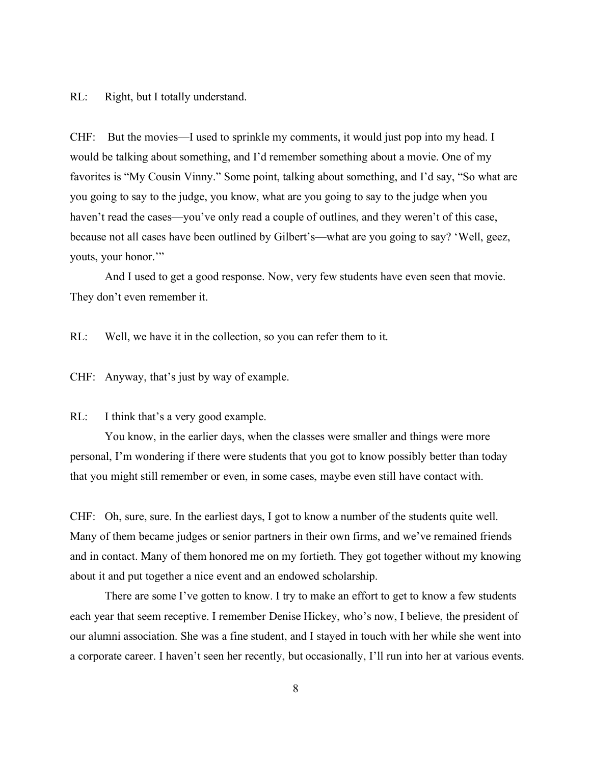#### RL: Right, but I totally understand.

CHF: But the movies—I used to sprinkle my comments, it would just pop into my head. I would be talking about something, and I'd remember something about a movie. One of my favorites is "My Cousin Vinny." Some point, talking about something, and I'd say, "So what are you going to say to the judge, you know, what are you going to say to the judge when you haven't read the cases—you've only read a couple of outlines, and they weren't of this case, because not all cases have been outlined by Gilbert's—what are you going to say? 'Well, geez, youts, your honor.'"

And I used to get a good response. Now, very few students have even seen that movie. They don't even remember it.

RL: Well, we have it in the collection, so you can refer them to it.

CHF: Anyway, that's just by way of example.

### RL: I think that's a very good example.

You know, in the earlier days, when the classes were smaller and things were more personal, I'm wondering if there were students that you got to know possibly better than today that you might still remember or even, in some cases, maybe even still have contact with.

CHF: Oh, sure, sure. In the earliest days, I got to know a number of the students quite well. Many of them became judges or senior partners in their own firms, and we've remained friends and in contact. Many of them honored me on my fortieth. They got together without my knowing about it and put together a nice event and an endowed scholarship.

There are some I've gotten to know. I try to make an effort to get to know a few students each year that seem receptive. I remember Denise Hickey, who's now, I believe, the president of our alumni association. She was a fine student, and I stayed in touch with her while she went into a corporate career. I haven't seen her recently, but occasionally, I'll run into her at various events.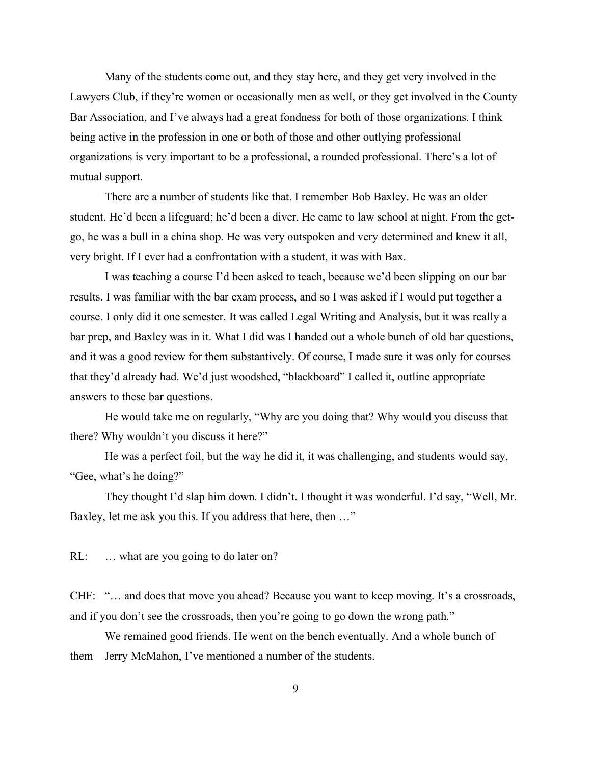Many of the students come out, and they stay here, and they get very involved in the Lawyers Club, if they're women or occasionally men as well, or they get involved in the County Bar Association, and I've always had a great fondness for both of those organizations. I think being active in the profession in one or both of those and other outlying professional organizations is very important to be a professional, a rounded professional. There's a lot of mutual support.

There are a number of students like that. I remember Bob Baxley. He was an older student. He'd been a lifeguard; he'd been a diver. He came to law school at night. From the getgo, he was a bull in a china shop. He was very outspoken and very determined and knew it all, very bright. If I ever had a confrontation with a student, it was with Bax.

I was teaching a course I'd been asked to teach, because we'd been slipping on our bar results. I was familiar with the bar exam process, and so I was asked if I would put together a course. I only did it one semester. It was called Legal Writing and Analysis, but it was really a bar prep, and Baxley was in it. What I did was I handed out a whole bunch of old bar questions, and it was a good review for them substantively. Of course, I made sure it was only for courses that they'd already had. We'd just woodshed, "blackboard" I called it, outline appropriate answers to these bar questions.

He would take me on regularly, "Why are you doing that? Why would you discuss that there? Why wouldn't you discuss it here?"

He was a perfect foil, but the way he did it, it was challenging, and students would say, "Gee, what's he doing?"

They thought I'd slap him down. I didn't. I thought it was wonderful. I'd say, "Well, Mr. Baxley, let me ask you this. If you address that here, then …"

RL: ... what are you going to do later on?

CHF: "… and does that move you ahead? Because you want to keep moving. It's a crossroads, and if you don't see the crossroads, then you're going to go down the wrong path."

We remained good friends. He went on the bench eventually. And a whole bunch of them—Jerry McMahon, I've mentioned a number of the students.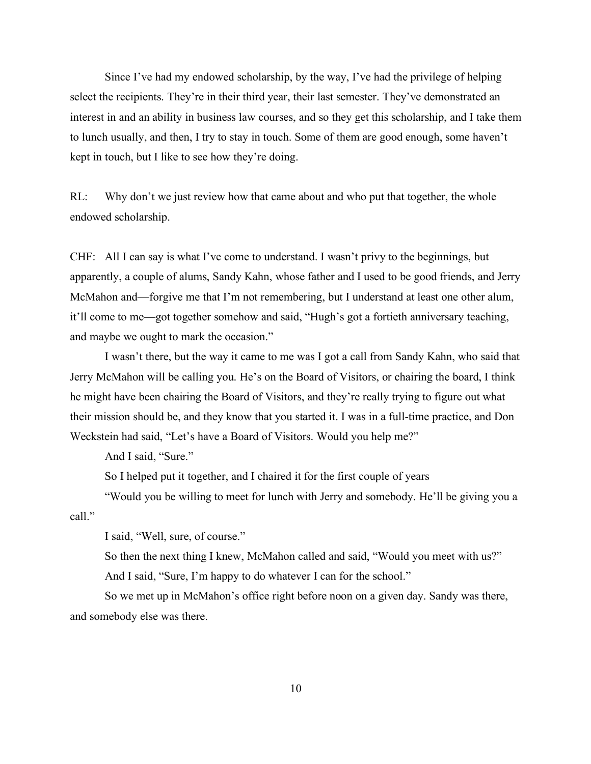Since I've had my endowed scholarship, by the way, I've had the privilege of helping select the recipients. They're in their third year, their last semester. They've demonstrated an interest in and an ability in business law courses, and so they get this scholarship, and I take them to lunch usually, and then, I try to stay in touch. Some of them are good enough, some haven't kept in touch, but I like to see how they're doing.

RL: Why don't we just review how that came about and who put that together, the whole endowed scholarship.

CHF: All I can say is what I've come to understand. I wasn't privy to the beginnings, but apparently, a couple of alums, Sandy Kahn, whose father and I used to be good friends, and Jerry McMahon and—forgive me that I'm not remembering, but I understand at least one other alum, it'll come to me—got together somehow and said, "Hugh's got a fortieth anniversary teaching, and maybe we ought to mark the occasion."

I wasn't there, but the way it came to me was I got a call from Sandy Kahn, who said that Jerry McMahon will be calling you. He's on the Board of Visitors, or chairing the board, I think he might have been chairing the Board of Visitors, and they're really trying to figure out what their mission should be, and they know that you started it. I was in a full-time practice, and Don Weckstein had said, "Let's have a Board of Visitors. Would you help me?"

And I said, "Sure."

So I helped put it together, and I chaired it for the first couple of years

"Would you be willing to meet for lunch with Jerry and somebody. He'll be giving you a call."

I said, "Well, sure, of course."

So then the next thing I knew, McMahon called and said, "Would you meet with us?" And I said, "Sure, I'm happy to do whatever I can for the school."

So we met up in McMahon's office right before noon on a given day. Sandy was there, and somebody else was there.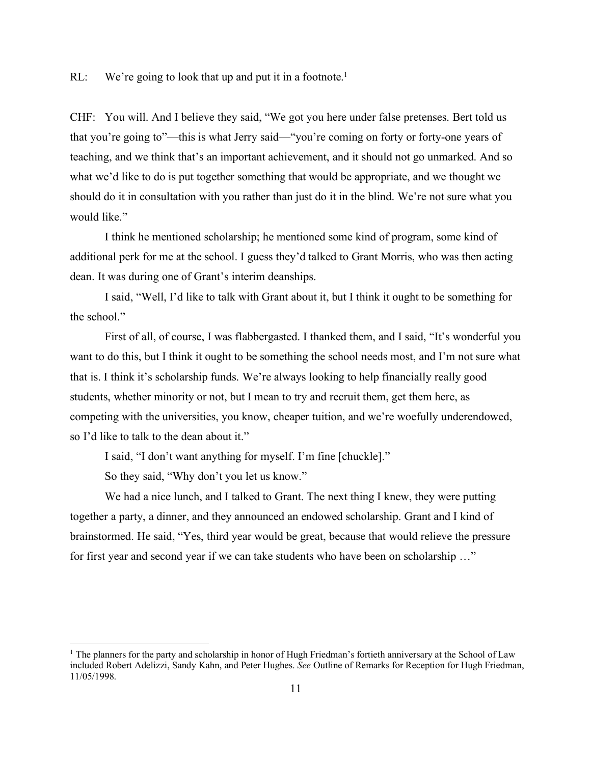RL: We're going to look that up and put it in a footnote.<sup>1</sup>

CHF: You will. And I believe they said, "We got you here under false pretenses. Bert told us that you're going to"—this is what Jerry said—"you're coming on forty or forty-one years of teaching, and we think that's an important achievement, and it should not go unmarked. And so what we'd like to do is put together something that would be appropriate, and we thought we should do it in consultation with you rather than just do it in the blind. We're not sure what you would like."

I think he mentioned scholarship; he mentioned some kind of program, some kind of additional perk for me at the school. I guess they'd talked to Grant Morris, who was then acting dean. It was during one of Grant's interim deanships.

I said, "Well, I'd like to talk with Grant about it, but I think it ought to be something for the school."

First of all, of course, I was flabbergasted. I thanked them, and I said, "It's wonderful you want to do this, but I think it ought to be something the school needs most, and I'm not sure what that is. I think it's scholarship funds. We're always looking to help financially really good students, whether minority or not, but I mean to try and recruit them, get them here, as competing with the universities, you know, cheaper tuition, and we're woefully underendowed, so I'd like to talk to the dean about it."

I said, "I don't want anything for myself. I'm fine [chuckle]."

So they said, "Why don't you let us know."

We had a nice lunch, and I talked to Grant. The next thing I knew, they were putting together a party, a dinner, and they announced an endowed scholarship. Grant and I kind of brainstormed. He said, "Yes, third year would be great, because that would relieve the pressure for first year and second year if we can take students who have been on scholarship …"

<sup>&</sup>lt;sup>1</sup> The planners for the party and scholarship in honor of Hugh Friedman's fortieth anniversary at the School of Law included Robert Adelizzi, Sandy Kahn, and Peter Hughes. *See* Outline of Remarks for Reception for Hugh Friedman, 11/05/1998.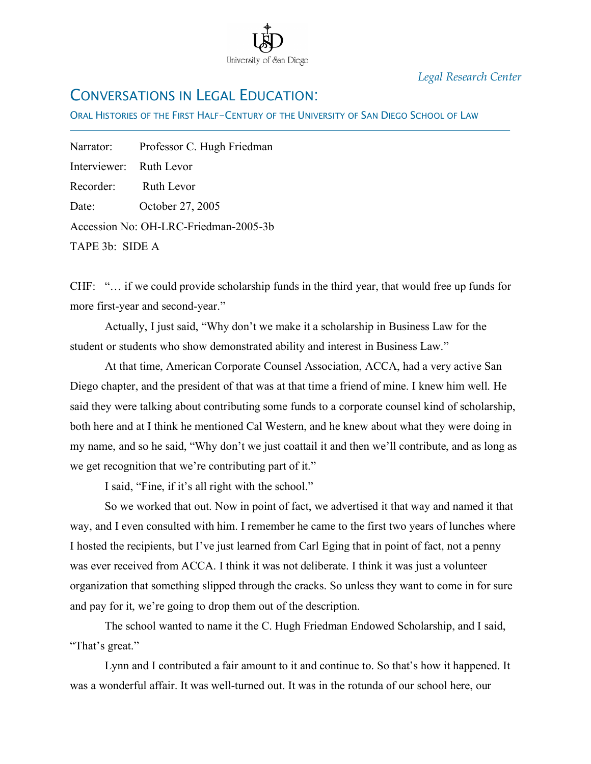

*Legal Research Center*

# CONVERSATIONS IN LEGAL EDUCATION:

ORAL HISTORIES OF THE FIRST HALF-CENTURY OF THE UNIVERSITY OF SAN DIEGO SCHOOL OF LAW

Narrator: Professor C. Hugh Friedman Interviewer: Ruth Levor Recorder: Ruth Levor Date: October 27, 2005 Accession No: OH-LRC-Friedman-2005-3b TAPE 3b: SIDE A

İ

CHF: "… if we could provide scholarship funds in the third year, that would free up funds for more first-year and second-year."

Actually, I just said, "Why don't we make it a scholarship in Business Law for the student or students who show demonstrated ability and interest in Business Law."

At that time, American Corporate Counsel Association, ACCA, had a very active San Diego chapter, and the president of that was at that time a friend of mine. I knew him well. He said they were talking about contributing some funds to a corporate counsel kind of scholarship, both here and at I think he mentioned Cal Western, and he knew about what they were doing in my name, and so he said, "Why don't we just coattail it and then we'll contribute, and as long as we get recognition that we're contributing part of it."

I said, "Fine, if it's all right with the school."

So we worked that out. Now in point of fact, we advertised it that way and named it that way, and I even consulted with him. I remember he came to the first two years of lunches where I hosted the recipients, but I've just learned from Carl Eging that in point of fact, not a penny was ever received from ACCA. I think it was not deliberate. I think it was just a volunteer organization that something slipped through the cracks. So unless they want to come in for sure and pay for it, we're going to drop them out of the description.

The school wanted to name it the C. Hugh Friedman Endowed Scholarship, and I said, "That's great."

Lynn and I contributed a fair amount to it and continue to. So that's how it happened. It was a wonderful affair. It was well-turned out. It was in the rotunda of our school here, our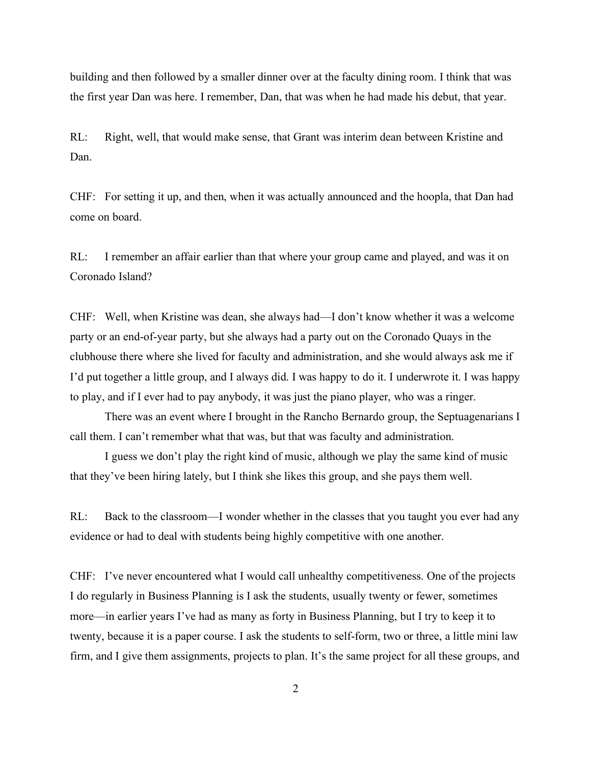building and then followed by a smaller dinner over at the faculty dining room. I think that was the first year Dan was here. I remember, Dan, that was when he had made his debut, that year.

RL: Right, well, that would make sense, that Grant was interim dean between Kristine and Dan.

CHF: For setting it up, and then, when it was actually announced and the hoopla, that Dan had come on board.

RL: I remember an affair earlier than that where your group came and played, and was it on Coronado Island?

CHF: Well, when Kristine was dean, she always had—I don't know whether it was a welcome party or an end-of-year party, but she always had a party out on the Coronado Quays in the clubhouse there where she lived for faculty and administration, and she would always ask me if I'd put together a little group, and I always did. I was happy to do it. I underwrote it. I was happy to play, and if I ever had to pay anybody, it was just the piano player, who was a ringer.

There was an event where I brought in the Rancho Bernardo group, the Septuagenarians I call them. I can't remember what that was, but that was faculty and administration.

I guess we don't play the right kind of music, although we play the same kind of music that they've been hiring lately, but I think she likes this group, and she pays them well.

RL: Back to the classroom—I wonder whether in the classes that you taught you ever had any evidence or had to deal with students being highly competitive with one another.

CHF: I've never encountered what I would call unhealthy competitiveness. One of the projects I do regularly in Business Planning is I ask the students, usually twenty or fewer, sometimes more—in earlier years I've had as many as forty in Business Planning, but I try to keep it to twenty, because it is a paper course. I ask the students to self-form, two or three, a little mini law firm, and I give them assignments, projects to plan. It's the same project for all these groups, and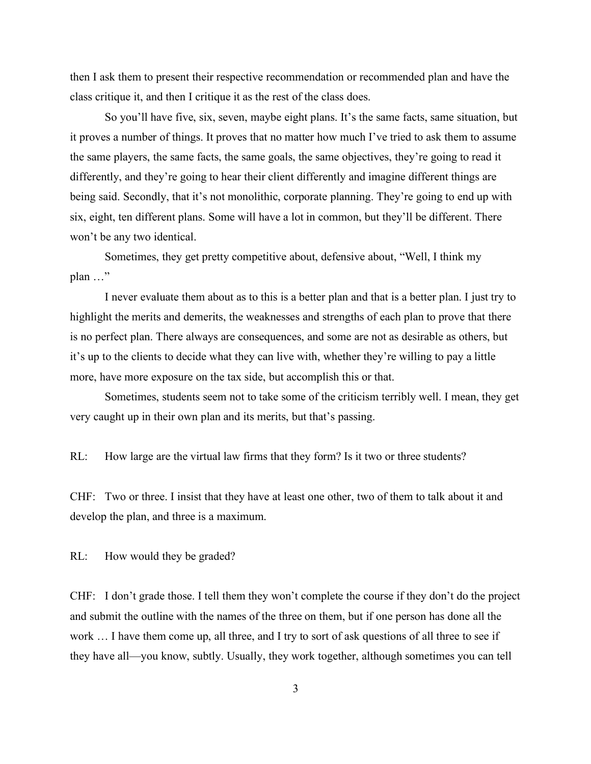then I ask them to present their respective recommendation or recommended plan and have the class critique it, and then I critique it as the rest of the class does.

So you'll have five, six, seven, maybe eight plans. It's the same facts, same situation, but it proves a number of things. It proves that no matter how much I've tried to ask them to assume the same players, the same facts, the same goals, the same objectives, they're going to read it differently, and they're going to hear their client differently and imagine different things are being said. Secondly, that it's not monolithic, corporate planning. They're going to end up with six, eight, ten different plans. Some will have a lot in common, but they'll be different. There won't be any two identical.

Sometimes, they get pretty competitive about, defensive about, "Well, I think my plan …"

I never evaluate them about as to this is a better plan and that is a better plan. I just try to highlight the merits and demerits, the weaknesses and strengths of each plan to prove that there is no perfect plan. There always are consequences, and some are not as desirable as others, but it's up to the clients to decide what they can live with, whether they're willing to pay a little more, have more exposure on the tax side, but accomplish this or that.

Sometimes, students seem not to take some of the criticism terribly well. I mean, they get very caught up in their own plan and its merits, but that's passing.

RL: How large are the virtual law firms that they form? Is it two or three students?

CHF: Two or three. I insist that they have at least one other, two of them to talk about it and develop the plan, and three is a maximum.

RL: How would they be graded?

CHF: I don't grade those. I tell them they won't complete the course if they don't do the project and submit the outline with the names of the three on them, but if one person has done all the work … I have them come up, all three, and I try to sort of ask questions of all three to see if they have all—you know, subtly. Usually, they work together, although sometimes you can tell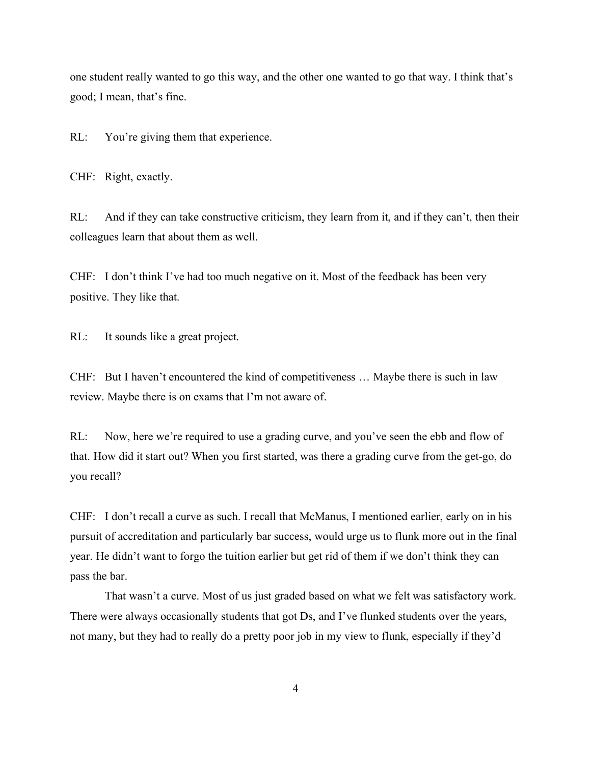one student really wanted to go this way, and the other one wanted to go that way. I think that's good; I mean, that's fine.

RL: You're giving them that experience.

CHF: Right, exactly.

RL: And if they can take constructive criticism, they learn from it, and if they can't, then their colleagues learn that about them as well.

CHF: I don't think I've had too much negative on it. Most of the feedback has been very positive. They like that.

RL: It sounds like a great project.

CHF: But I haven't encountered the kind of competitiveness … Maybe there is such in law review. Maybe there is on exams that I'm not aware of.

RL: Now, here we're required to use a grading curve, and you've seen the ebb and flow of that. How did it start out? When you first started, was there a grading curve from the get-go, do you recall?

CHF: I don't recall a curve as such. I recall that McManus, I mentioned earlier, early on in his pursuit of accreditation and particularly bar success, would urge us to flunk more out in the final year. He didn't want to forgo the tuition earlier but get rid of them if we don't think they can pass the bar.

That wasn't a curve. Most of us just graded based on what we felt was satisfactory work. There were always occasionally students that got Ds, and I've flunked students over the years, not many, but they had to really do a pretty poor job in my view to flunk, especially if they'd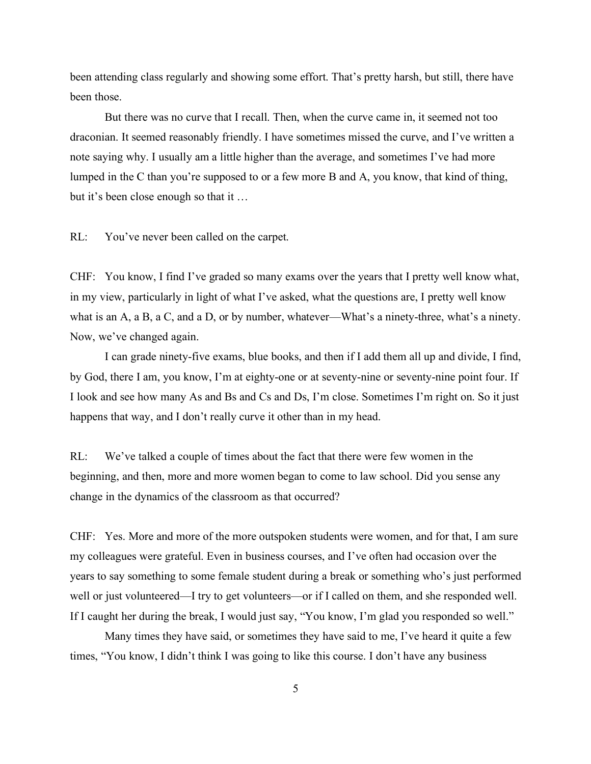been attending class regularly and showing some effort. That's pretty harsh, but still, there have been those.

But there was no curve that I recall. Then, when the curve came in, it seemed not too draconian. It seemed reasonably friendly. I have sometimes missed the curve, and I've written a note saying why. I usually am a little higher than the average, and sometimes I've had more lumped in the C than you're supposed to or a few more B and A, you know, that kind of thing, but it's been close enough so that it …

RL: You've never been called on the carpet.

CHF: You know, I find I've graded so many exams over the years that I pretty well know what, in my view, particularly in light of what I've asked, what the questions are, I pretty well know what is an A, a B, a C, and a D, or by number, whatever—What's a ninety-three, what's a ninety. Now, we've changed again.

I can grade ninety-five exams, blue books, and then if I add them all up and divide, I find, by God, there I am, you know, I'm at eighty-one or at seventy-nine or seventy-nine point four. If I look and see how many As and Bs and Cs and Ds, I'm close. Sometimes I'm right on. So it just happens that way, and I don't really curve it other than in my head.

RL: We've talked a couple of times about the fact that there were few women in the beginning, and then, more and more women began to come to law school. Did you sense any change in the dynamics of the classroom as that occurred?

CHF: Yes. More and more of the more outspoken students were women, and for that, I am sure my colleagues were grateful. Even in business courses, and I've often had occasion over the years to say something to some female student during a break or something who's just performed well or just volunteered—I try to get volunteers—or if I called on them, and she responded well. If I caught her during the break, I would just say, "You know, I'm glad you responded so well."

Many times they have said, or sometimes they have said to me, I've heard it quite a few times, "You know, I didn't think I was going to like this course. I don't have any business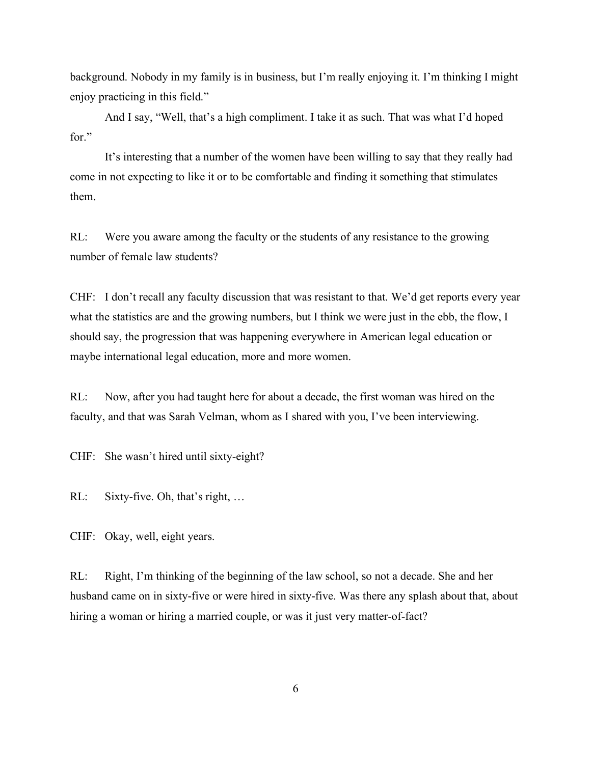background. Nobody in my family is in business, but I'm really enjoying it. I'm thinking I might enjoy practicing in this field."

And I say, "Well, that's a high compliment. I take it as such. That was what I'd hoped for."

It's interesting that a number of the women have been willing to say that they really had come in not expecting to like it or to be comfortable and finding it something that stimulates them.

RL: Were you aware among the faculty or the students of any resistance to the growing number of female law students?

CHF: I don't recall any faculty discussion that was resistant to that. We'd get reports every year what the statistics are and the growing numbers, but I think we were just in the ebb, the flow, I should say, the progression that was happening everywhere in American legal education or maybe international legal education, more and more women.

RL: Now, after you had taught here for about a decade, the first woman was hired on the faculty, and that was Sarah Velman, whom as I shared with you, I've been interviewing.

CHF: She wasn't hired until sixty-eight?

RL: Sixty-five. Oh, that's right, ...

CHF: Okay, well, eight years.

RL: Right, I'm thinking of the beginning of the law school, so not a decade. She and her husband came on in sixty-five or were hired in sixty-five. Was there any splash about that, about hiring a woman or hiring a married couple, or was it just very matter-of-fact?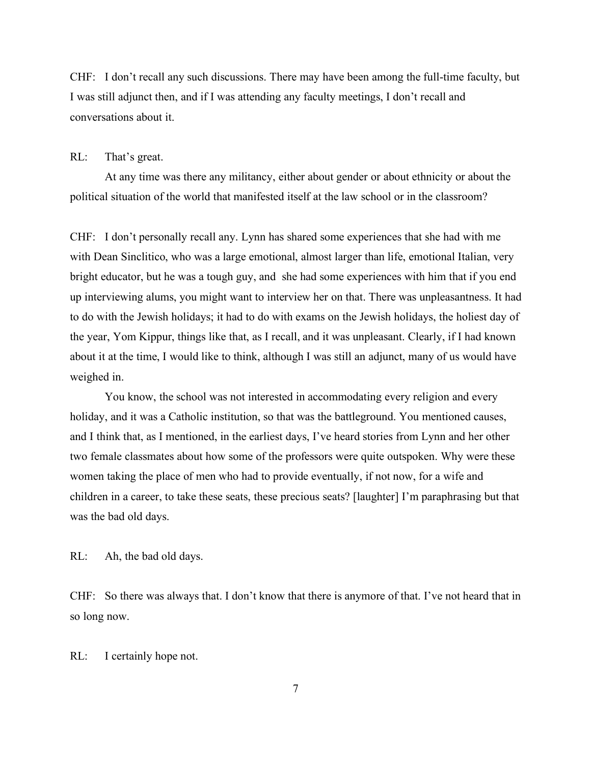CHF: I don't recall any such discussions. There may have been among the full-time faculty, but I was still adjunct then, and if I was attending any faculty meetings, I don't recall and conversations about it.

## RL: That's great.

At any time was there any militancy, either about gender or about ethnicity or about the political situation of the world that manifested itself at the law school or in the classroom?

CHF: I don't personally recall any. Lynn has shared some experiences that she had with me with Dean Sinclitico, who was a large emotional, almost larger than life, emotional Italian, very bright educator, but he was a tough guy, and she had some experiences with him that if you end up interviewing alums, you might want to interview her on that. There was unpleasantness. It had to do with the Jewish holidays; it had to do with exams on the Jewish holidays, the holiest day of the year, Yom Kippur, things like that, as I recall, and it was unpleasant. Clearly, if I had known about it at the time, I would like to think, although I was still an adjunct, many of us would have weighed in.

You know, the school was not interested in accommodating every religion and every holiday, and it was a Catholic institution, so that was the battleground. You mentioned causes, and I think that, as I mentioned, in the earliest days, I've heard stories from Lynn and her other two female classmates about how some of the professors were quite outspoken. Why were these women taking the place of men who had to provide eventually, if not now, for a wife and children in a career, to take these seats, these precious seats? [laughter] I'm paraphrasing but that was the bad old days.

## RL: Ah, the bad old days.

CHF: So there was always that. I don't know that there is anymore of that. I've not heard that in so long now.

### RL: I certainly hope not.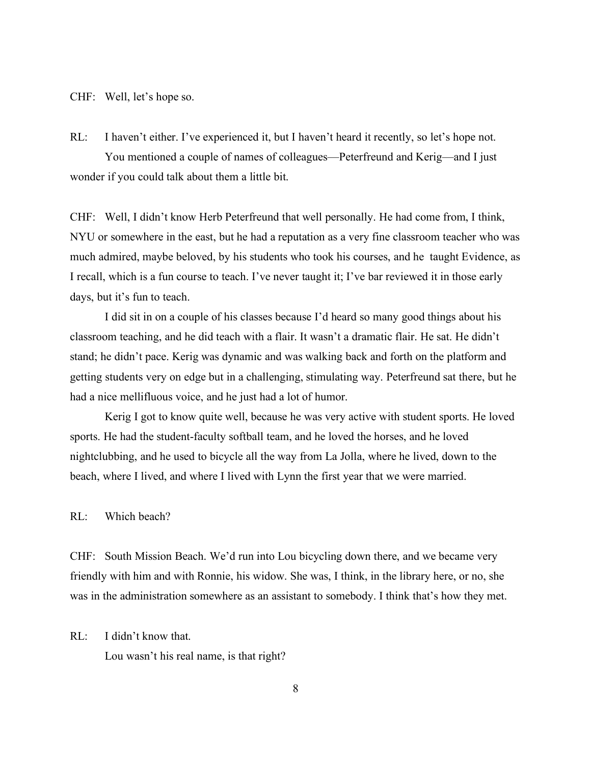CHF: Well, let's hope so.

RL: I haven't either. I've experienced it, but I haven't heard it recently, so let's hope not. You mentioned a couple of names of colleagues—Peterfreund and Kerig—and I just wonder if you could talk about them a little bit.

CHF: Well, I didn't know Herb Peterfreund that well personally. He had come from, I think, NYU or somewhere in the east, but he had a reputation as a very fine classroom teacher who was much admired, maybe beloved, by his students who took his courses, and he taught Evidence, as I recall, which is a fun course to teach. I've never taught it; I've bar reviewed it in those early days, but it's fun to teach.

I did sit in on a couple of his classes because I'd heard so many good things about his classroom teaching, and he did teach with a flair. It wasn't a dramatic flair. He sat. He didn't stand; he didn't pace. Kerig was dynamic and was walking back and forth on the platform and getting students very on edge but in a challenging, stimulating way. Peterfreund sat there, but he had a nice mellifluous voice, and he just had a lot of humor.

Kerig I got to know quite well, because he was very active with student sports. He loved sports. He had the student-faculty softball team, and he loved the horses, and he loved nightclubbing, and he used to bicycle all the way from La Jolla, where he lived, down to the beach, where I lived, and where I lived with Lynn the first year that we were married.

RL: Which beach?

CHF: South Mission Beach. We'd run into Lou bicycling down there, and we became very friendly with him and with Ronnie, his widow. She was, I think, in the library here, or no, she was in the administration somewhere as an assistant to somebody. I think that's how they met.

RL: I didn't know that.

Lou wasn't his real name, is that right?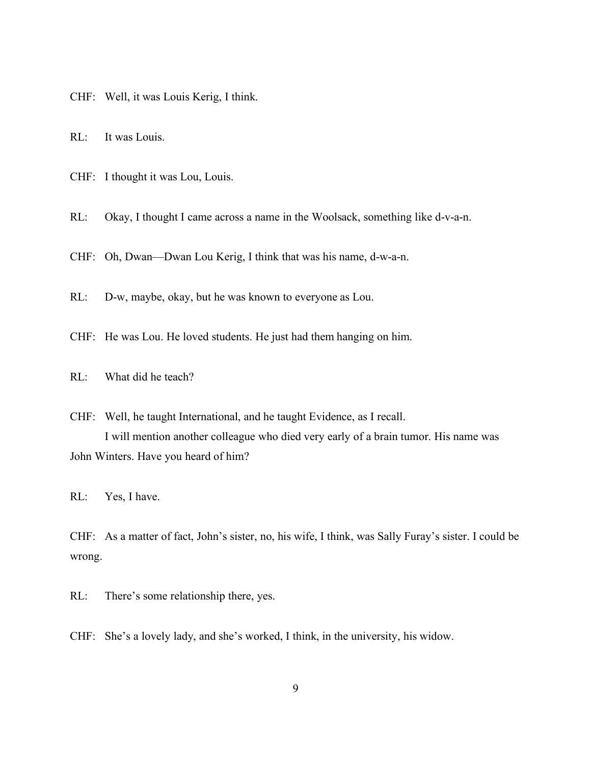CHF: Well, it was Louis Kerig, I think.

RL: It was Louis.

CHF: I thought it was Lou, Louis.

RL: Okay, I thought I came across a name in the Woolsack, something like d-v-a-n.

CHF: Oh, Dwan—Dwan Lou Kerig, I think that was his name, d-w-a-n.

RL: D-w, maybe, okay, but he was known to everyone as Lou.

CHF: He was Lou. He loved students. He just had them hanging on him.

RL: What did he teach?

CHF: Well, he taught International, and he taught Evidence, as I recall. I will mention another colleague who died very early of a brain tumor. His name was John Winters. Have you heard of him?

RL: Yes, I have.

CHF: As a matter of fact, John's sister, no, his wife, I think, was Sally Furay's sister. I could be wrong.

RL: There's some relationship there, yes.

CHF: She's a lovely lady, and she's worked, I think, in the university, his widow.